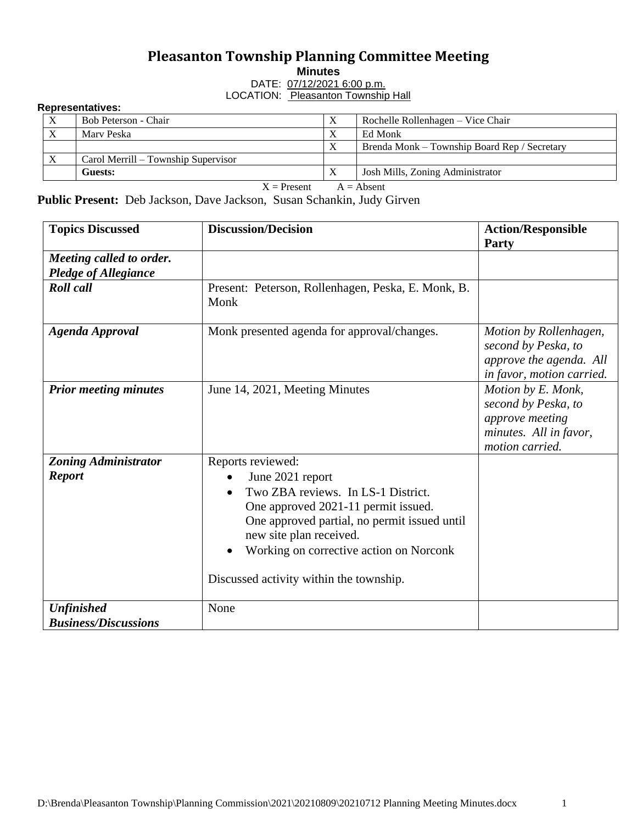## **Pleasanton Township Planning Committee Meeting**

**Minutes**

DATE: 07/12/2021 6:00 p.m. LOCATION: Pleasanton Township Hall

## **Representatives:**

| $\mathbf{v}$ | Bob Peterson - Chair                |           | Rochelle Rollenhagen – Vice Chair            |  |  |  |  |
|--------------|-------------------------------------|-----------|----------------------------------------------|--|--|--|--|
| $\mathbf{v}$ | Mary Peska                          |           | Ed Monk                                      |  |  |  |  |
|              |                                     | v         | Brenda Monk – Township Board Rep / Secretary |  |  |  |  |
|              | Carol Merrill – Township Supervisor |           |                                              |  |  |  |  |
|              | Guests:                             | $\Lambda$ | Josh Mills, Zoning Administrator             |  |  |  |  |
|              | -- -<br>.                           |           |                                              |  |  |  |  |

 $X =$ Present  $A =$  Absent

**Public Present:** Deb Jackson, Dave Jackson, Susan Schankin, Judy Girven

| <b>Topics Discussed</b>                                 | <b>Discussion/Decision</b>                                                                                                                                                                                                                                                          | <b>Action/Responsible</b><br>Party                                                                        |
|---------------------------------------------------------|-------------------------------------------------------------------------------------------------------------------------------------------------------------------------------------------------------------------------------------------------------------------------------------|-----------------------------------------------------------------------------------------------------------|
| Meeting called to order.<br><b>Pledge of Allegiance</b> |                                                                                                                                                                                                                                                                                     |                                                                                                           |
| <b>Roll</b> call                                        | Present: Peterson, Rollenhagen, Peska, E. Monk, B.<br>Monk                                                                                                                                                                                                                          |                                                                                                           |
| <b>Agenda Approval</b>                                  | Monk presented agenda for approval/changes.                                                                                                                                                                                                                                         | Motion by Rollenhagen,<br>second by Peska, to<br>approve the agenda. All<br>in favor, motion carried.     |
| <b>Prior meeting minutes</b>                            | June 14, 2021, Meeting Minutes                                                                                                                                                                                                                                                      | Motion by E. Monk,<br>second by Peska, to<br>approve meeting<br>minutes. All in favor,<br>motion carried. |
| <b>Zoning Administrator</b><br><b>Report</b>            | Reports reviewed:<br>June 2021 report<br>Two ZBA reviews. In LS-1 District.<br>One approved 2021-11 permit issued.<br>One approved partial, no permit issued until<br>new site plan received.<br>Working on corrective action on Norconk<br>Discussed activity within the township. |                                                                                                           |
| <b>Unfinished</b><br><b>Business/Discussions</b>        | None                                                                                                                                                                                                                                                                                |                                                                                                           |